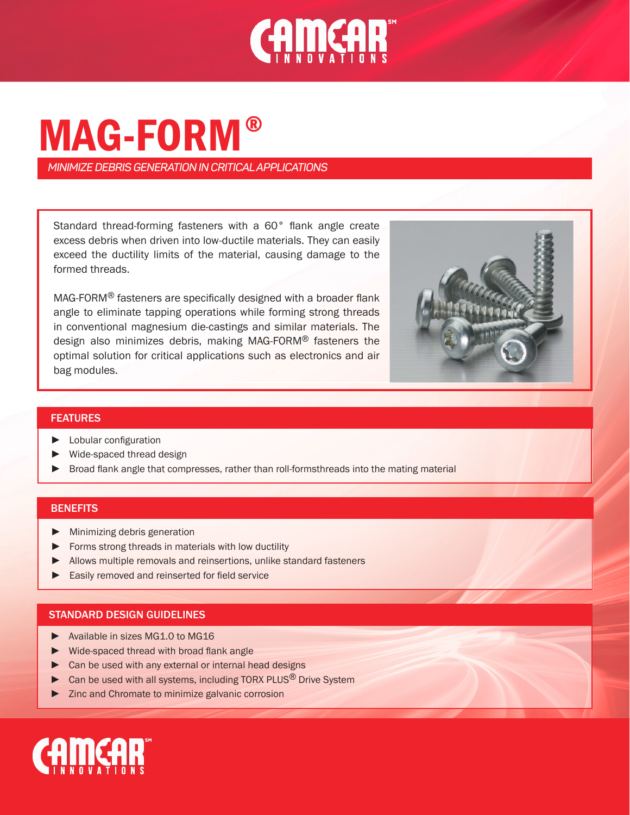

# MAG-FORM ®

*MINIMIZE DEBRIS GENERATION IN CRITICAL APPLICATIONS*

Standard thread-forming fasteners with a 60° flank angle create excess debris when driven into low-ductile materials. They can easily exceed the ductility limits of the material, causing damage to the formed threads.

MAG-FORM® fasteners are specifically designed with a broader flank angle to eliminate tapping operations while forming strong threads in conventional magnesium die-castings and similar materials. The design also minimizes debris, making MAG-FORM® fasteners the optimal solution for critical applications such as electronics and air bag modules.



## FEATURES

- ► Lobular configuration
- ► Wide-spaced thread design
- ▶ Broad flank angle that compresses, rather than roll-formsthreads into the mating material

#### **BENEFITS**

- ► Minimizing debris generation
- ► Forms strong threads in materials with low ductility
- ► Allows multiple removals and reinsertions, unlike standard fasteners
- ► Easily removed and reinserted for field service

#### STANDARD DESIGN GUIDELINES

- ► Available in sizes MG1.0 to MG16
- ► Wide-spaced thread with broad flank angle
- ► Can be used with any external or internal head designs
- ► Can be used with all systems, including TORX PLUS<sup>®</sup> Drive System
- ► Zinc and Chromate to minimize galvanic corrosion